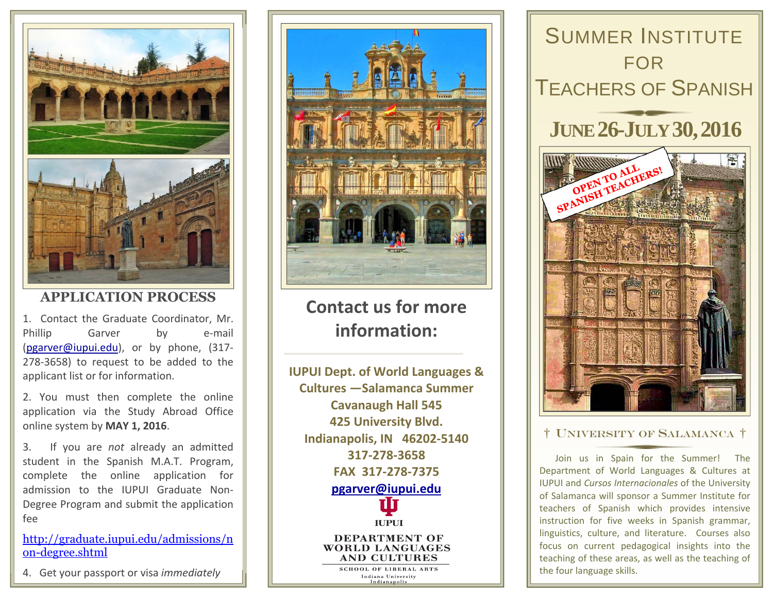

## **APPLICATION PROCESS**

1. Contact the Graduate Coordinator, Mr. Phillip Garver by e-mail (pgarver@iupui.edu), or by phone, (317‐ 278‐3658) to request to be added to the applicant list or for information.

2. You must then complete the online application via the Study Abroad Office online system by **MAY 1, 2016**.

3.. If you are *not* already an admitted student in the Spanish M.A.T. Program, complete the online application for admission to the IUPUI Graduate Non‐ Degree Program and submit the application fee

http://graduate.iupui.edu/admissions/n on-degree.shtml

4. Get your passport or visa *immediately*



**Contact us for moreinformation:**

**IUPUI Dept. of World Languages & Cultures —Salamanca Summer Cavanaugh Hall 545 425 University Blvd. Indianapolis, IN 46202‐5140 317‐278‐3658FAX 317‐278‐7375 pgarver@iupui.eduIUPUI DEPARTMENT OF WORLD LANGUAGES AND CULTURES SCHOOL OF LIBERAL ARTS** 

Indiana University



### † UNIVERSITY OF SALAMANCA †

Join us in Spain for the Summer! The Department of World Languages & Cultures at IUPUI and *Cursos Internacionales* of the University of Salamanca will sponsor <sup>a</sup> Summer Institute for teachers of Spanish which provides intensive instruction for five weeks in Spanish grammar, linguistics, culture, and literature. Courses also focus on current pedagogical insights into the teaching of these areas, as well as the teaching of the four language skills.